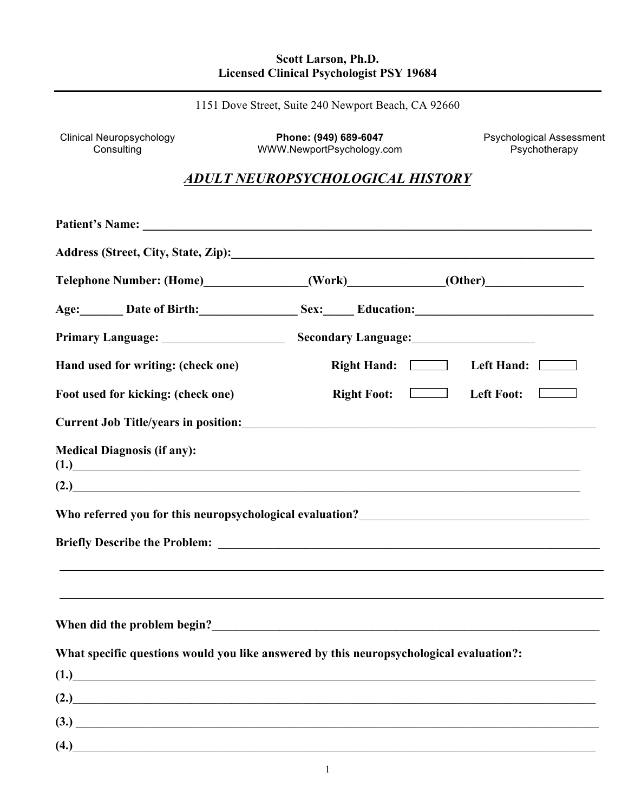#### **Scott Larson, Ph.D. Licensed Clinical Psychologist PSY 19684**

1151 Dove Street, Suite 240 Newport Beach, CA 92660

Clinical Neuropsychology **Phone: (949) 689-6047** Psychological Assessment Consulting WWW.NewportPsychology.com Psychotherapy

# *ADULT NEUROPSYCHOLOGICAL HISTORY*

| Telephone Number: (Home) (Work) (Work) (Other)                                          |                                                                                  |
|-----------------------------------------------------------------------------------------|----------------------------------------------------------------------------------|
| Age: Date of Birth: Sex: Education: Manual Date of Birth:                               |                                                                                  |
|                                                                                         |                                                                                  |
| Hand used for writing: (check one)                                                      | Right Hand: Left Hand: [1888]                                                    |
| Foot used for kicking: (check one)                                                      | $Right$ Foot: $\boxed{\phantom{Comp}}$<br>Left Foot:                             |
|                                                                                         |                                                                                  |
| <b>Medical Diagnosis (if any):</b><br>(1.)                                              |                                                                                  |
| (2.)                                                                                    |                                                                                  |
|                                                                                         |                                                                                  |
|                                                                                         |                                                                                  |
|                                                                                         | ,我们也不会有什么?""我们的人,我们也不会有什么?""我们的人,我们也不会有什么?""我们的人,我们也不会有什么?""我们的人,我们也不会有什么?""我们的人 |
|                                                                                         |                                                                                  |
|                                                                                         |                                                                                  |
| What specific questions would you like answered by this neuropsychological evaluation?: |                                                                                  |
| (1.)                                                                                    |                                                                                  |
| (2.)                                                                                    |                                                                                  |
| (3.)                                                                                    |                                                                                  |
| (4.)                                                                                    |                                                                                  |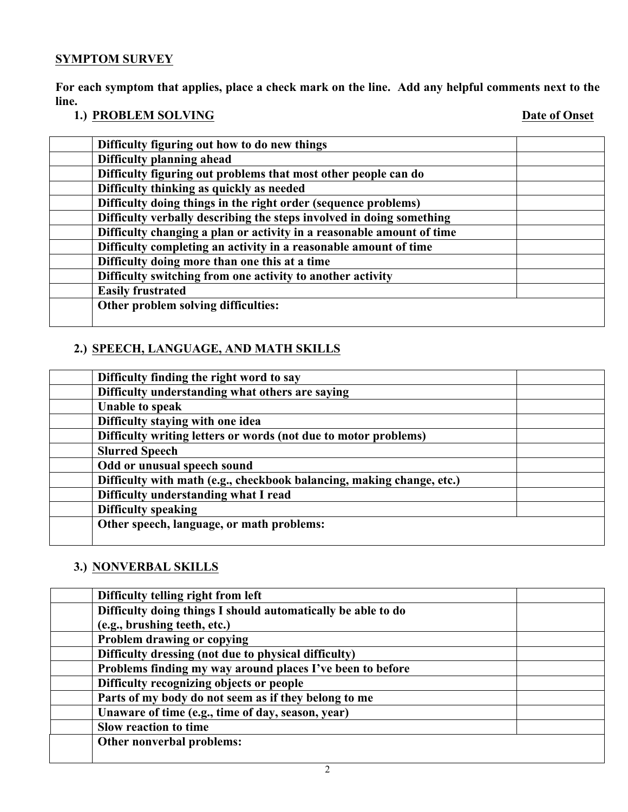# **SYMPTOM SURVEY**

**For each symptom that applies, place a check mark on the line. Add any helpful comments next to the line.**

# **1.) PROBLEM SOLVING** Date of Onset

| Difficulty figuring out how to do new things                          |  |
|-----------------------------------------------------------------------|--|
| Difficulty planning ahead                                             |  |
| Difficulty figuring out problems that most other people can do        |  |
| Difficulty thinking as quickly as needed                              |  |
| Difficulty doing things in the right order (sequence problems)        |  |
| Difficulty verbally describing the steps involved in doing something  |  |
| Difficulty changing a plan or activity in a reasonable amount of time |  |
| Difficulty completing an activity in a reasonable amount of time      |  |
| Difficulty doing more than one this at a time                         |  |
| Difficulty switching from one activity to another activity            |  |
| <b>Easily frustrated</b>                                              |  |
| Other problem solving difficulties:                                   |  |
|                                                                       |  |

# **2.) SPEECH, LANGUAGE, AND MATH SKILLS**

| Difficulty finding the right word to say                              |  |
|-----------------------------------------------------------------------|--|
| Difficulty understanding what others are saying                       |  |
| <b>Unable to speak</b>                                                |  |
| Difficulty staying with one idea                                      |  |
| Difficulty writing letters or words (not due to motor problems)       |  |
| <b>Slurred Speech</b>                                                 |  |
| Odd or unusual speech sound                                           |  |
| Difficulty with math (e.g., checkbook balancing, making change, etc.) |  |
| Difficulty understanding what I read                                  |  |
| <b>Difficulty speaking</b>                                            |  |
| Other speech, language, or math problems:                             |  |
|                                                                       |  |

# **3.) NONVERBAL SKILLS**

| Difficulty telling right from left                           |  |
|--------------------------------------------------------------|--|
| Difficulty doing things I should automatically be able to do |  |
| (e.g., brushing teeth, etc.)                                 |  |
| Problem drawing or copying                                   |  |
| Difficulty dressing (not due to physical difficulty)         |  |
| Problems finding my way around places I've been to before    |  |
| Difficulty recognizing objects or people                     |  |
| Parts of my body do not seem as if they belong to me         |  |
| Unaware of time (e.g., time of day, season, year)            |  |
| Slow reaction to time                                        |  |
| Other nonverbal problems:                                    |  |
|                                                              |  |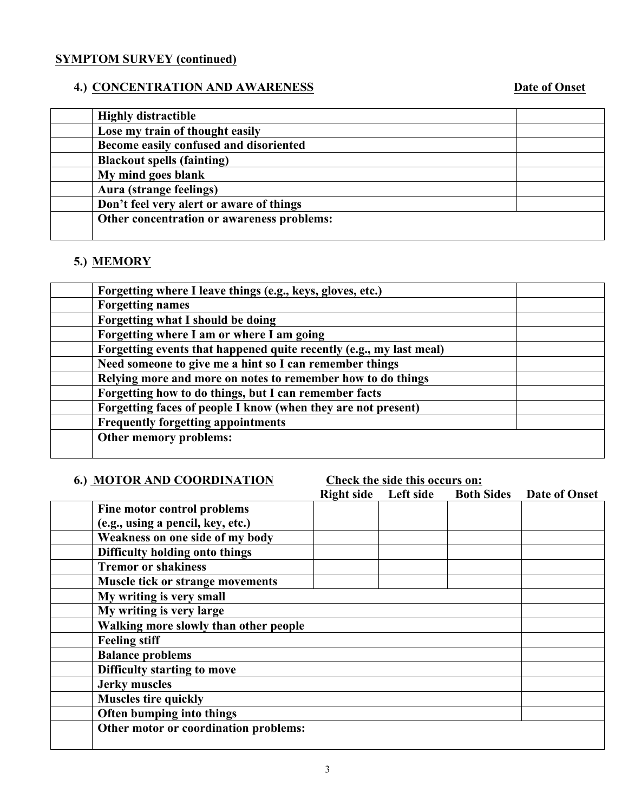# **SYMPTOM SURVEY (continued)**

# **4.) CONCENTRATION AND AWARENESS** Date of Onset

| <b>Highly distractible</b>                 |  |
|--------------------------------------------|--|
| Lose my train of thought easily            |  |
| Become easily confused and disoriented     |  |
| <b>Blackout spells (fainting)</b>          |  |
| My mind goes blank                         |  |
| Aura (strange feelings)                    |  |
| Don't feel very alert or aware of things   |  |
| Other concentration or awareness problems: |  |
|                                            |  |

# **5.) MEMORY**

| Forgetting where I leave things (e.g., keys, gloves, etc.)          |  |
|---------------------------------------------------------------------|--|
| <b>Forgetting names</b>                                             |  |
| Forgetting what I should be doing                                   |  |
| Forgetting where I am or where I am going                           |  |
| Forgetting events that happened quite recently (e.g., my last meal) |  |
| Need someone to give me a hint so I can remember things             |  |
| Relying more and more on notes to remember how to do things         |  |
| Forgetting how to do things, but I can remember facts               |  |
| Forgetting faces of people I know (when they are not present)       |  |
| <b>Frequently forgetting appointments</b>                           |  |
| Other memory problems:                                              |  |
|                                                                     |  |

## **6.) MOTOR AND COORDINATION Check the side this occurs on:**

|                                         | <b>Right side</b> | Left side | <b>Both Sides</b> Date of Onset |
|-----------------------------------------|-------------------|-----------|---------------------------------|
| Fine motor control problems             |                   |           |                                 |
| (e.g., using a pencil, key, etc.)       |                   |           |                                 |
| Weakness on one side of my body         |                   |           |                                 |
| Difficulty holding onto things          |                   |           |                                 |
| <b>Tremor or shakiness</b>              |                   |           |                                 |
| <b>Muscle tick or strange movements</b> |                   |           |                                 |
| My writing is very small                |                   |           |                                 |
| My writing is very large                |                   |           |                                 |
| Walking more slowly than other people   |                   |           |                                 |
| <b>Feeling stiff</b>                    |                   |           |                                 |
| <b>Balance problems</b>                 |                   |           |                                 |
| <b>Difficulty starting to move</b>      |                   |           |                                 |
| <b>Jerky muscles</b>                    |                   |           |                                 |
| <b>Muscles tire quickly</b>             |                   |           |                                 |
| Often bumping into things               |                   |           |                                 |
| Other motor or coordination problems:   |                   |           |                                 |
|                                         |                   |           |                                 |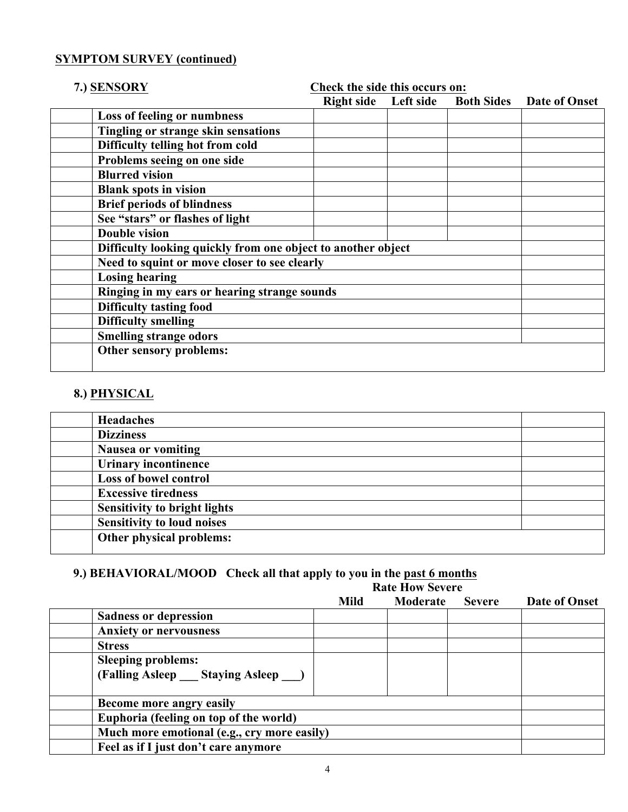#### **SYMPTOM SURVEY (continued)**

# **7.) SENSORY Check the side this occurs on: Right side Left side Both Sides Date of Onset Loss of feeling or numbness Tingling or strange skin sensations Difficulty telling hot from cold Problems seeing on one side Blurred vision Blank spots in vision Brief periods of blindness See "stars" or flashes of light Double vision Difficulty looking quickly from one object to another object Need to squint or move closer to see clearly Losing hearing Ringing in my ears or hearing strange sounds Difficulty tasting food Difficulty smelling Smelling strange odors Other sensory problems:**

### **8.) PHYSICAL**

| <b>Headaches</b>                    |  |
|-------------------------------------|--|
| <b>Dizziness</b>                    |  |
| <b>Nausea or vomiting</b>           |  |
| <b>Urinary incontinence</b>         |  |
| Loss of bowel control               |  |
| <b>Excessive tiredness</b>          |  |
| <b>Sensitivity to bright lights</b> |  |
| <b>Sensitivity to loud noises</b>   |  |
| Other physical problems:            |  |

# **9.) BEHAVIORAL/MOOD Check all that apply to you in the past 6 months**

| <b>Rate How Severe</b> |  |
|------------------------|--|
|------------------------|--|

|                           |                                             | <b>Mild</b> | Moderate | <b>Severe</b> | Date of Onset |
|---------------------------|---------------------------------------------|-------------|----------|---------------|---------------|
|                           | <b>Sadness or depression</b>                |             |          |               |               |
|                           | <b>Anxiety or nervousness</b>               |             |          |               |               |
| <b>Stress</b>             |                                             |             |          |               |               |
| <b>Sleeping problems:</b> |                                             |             |          |               |               |
|                           | (Falling Asleep Staying Asleep )            |             |          |               |               |
|                           |                                             |             |          |               |               |
|                           | Become more angry easily                    |             |          |               |               |
|                           | Euphoria (feeling on top of the world)      |             |          |               |               |
|                           | Much more emotional (e.g., cry more easily) |             |          |               |               |
|                           | Feel as if I just don't care anymore        |             |          |               |               |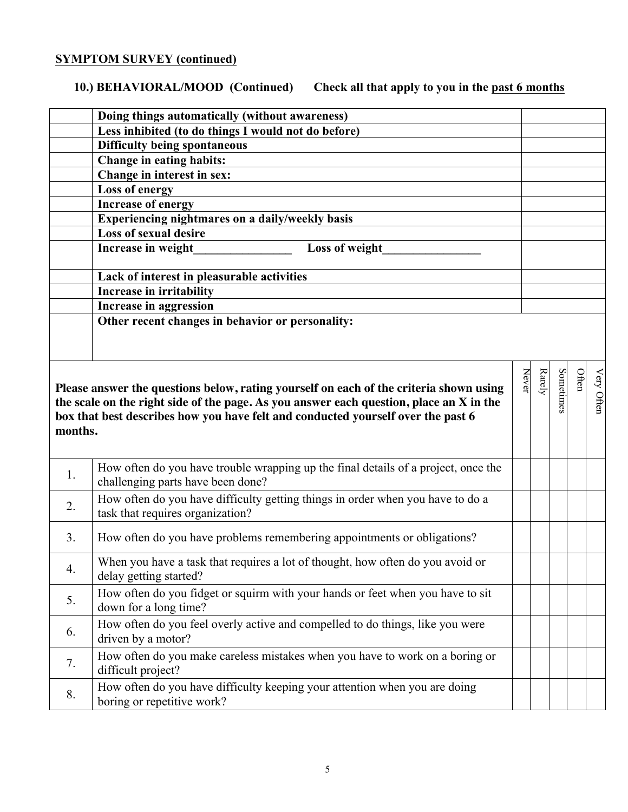# **SYMPTOM SURVEY (continued)**

# **10.) BEHAVIORAL/MOOD (Continued) Check all that apply to you in the past 6 months**

|         | Doing things automatically (without awareness)                                                                     |       |        |           |       |            |
|---------|--------------------------------------------------------------------------------------------------------------------|-------|--------|-----------|-------|------------|
|         | Less inhibited (to do things I would not do before)                                                                |       |        |           |       |            |
|         | <b>Difficulty being spontaneous</b>                                                                                |       |        |           |       |            |
|         | Change in eating habits:                                                                                           |       |        |           |       |            |
|         | Change in interest in sex:                                                                                         |       |        |           |       |            |
|         | <b>Loss of energy</b>                                                                                              |       |        |           |       |            |
|         | <b>Increase of energy</b>                                                                                          |       |        |           |       |            |
|         | Experiencing nightmares on a daily/weekly basis                                                                    |       |        |           |       |            |
|         | <b>Loss of sexual desire</b>                                                                                       |       |        |           |       |            |
|         | Increase in weight<br>Loss of weight                                                                               |       |        |           |       |            |
|         |                                                                                                                    |       |        |           |       |            |
|         | Lack of interest in pleasurable activities                                                                         |       |        |           |       |            |
|         | <b>Increase in irritability</b>                                                                                    |       |        |           |       |            |
|         | <b>Increase in aggression</b>                                                                                      |       |        |           |       |            |
|         | Other recent changes in behavior or personality:                                                                   |       |        |           |       |            |
|         |                                                                                                                    |       |        |           |       |            |
|         |                                                                                                                    |       |        |           |       |            |
|         |                                                                                                                    |       |        |           |       |            |
|         | Please answer the questions below, rating yourself on each of the criteria shown using                             | Never | Rarely | Sometimes | Often | Very Often |
|         | the scale on the right side of the page. As you answer each question, place an X in the                            |       |        |           |       |            |
|         | box that best describes how you have felt and conducted yourself over the past 6                                   |       |        |           |       |            |
| months. |                                                                                                                    |       |        |           |       |            |
|         |                                                                                                                    |       |        |           |       |            |
|         | How often do you have trouble wrapping up the final details of a project, once the                                 |       |        |           |       |            |
| 1.      | challenging parts have been done?                                                                                  |       |        |           |       |            |
|         |                                                                                                                    |       |        |           |       |            |
| 2.      | How often do you have difficulty getting things in order when you have to do a<br>task that requires organization? |       |        |           |       |            |
|         |                                                                                                                    |       |        |           |       |            |
| 3.      | How often do you have problems remembering appointments or obligations?                                            |       |        |           |       |            |
|         |                                                                                                                    |       |        |           |       |            |
| 4.      | When you have a task that requires a lot of thought, how often do you avoid or                                     |       |        |           |       |            |
|         | delay getting started?                                                                                             |       |        |           |       |            |
| 5.      | How often do you fidget or squirm with your hands or feet when you have to sit                                     |       |        |           |       |            |
|         | down for a long time?                                                                                              |       |        |           |       |            |
| 6.      | How often do you feel overly active and compelled to do things, like you were                                      |       |        |           |       |            |
|         | driven by a motor?                                                                                                 |       |        |           |       |            |
|         | How often do you make careless mistakes when you have to work on a boring or                                       |       |        |           |       |            |
| 7.      | difficult project?                                                                                                 |       |        |           |       |            |
|         | How often do you have difficulty keeping your attention when you are doing                                         |       |        |           |       |            |
| 8.      | boring or repetitive work?                                                                                         |       |        |           |       |            |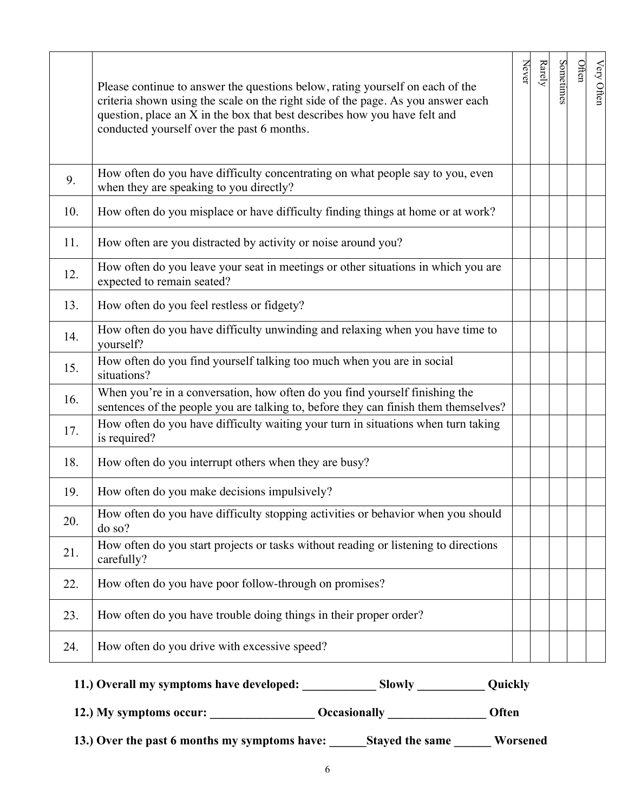|     | Please continue to answer the questions below, rating yourself on each of the<br>criteria shown using the scale on the right side of the page. As you answer each<br>question, place an X in the box that best describes how you have felt and<br>conducted yourself over the past 6 months. | Never | Rarely | Sometimes | Often | Very Often |
|-----|----------------------------------------------------------------------------------------------------------------------------------------------------------------------------------------------------------------------------------------------------------------------------------------------|-------|--------|-----------|-------|------------|
| 9.  | How often do you have difficulty concentrating on what people say to you, even<br>when they are speaking to you directly?                                                                                                                                                                    |       |        |           |       |            |
| 10. | How often do you misplace or have difficulty finding things at home or at work?                                                                                                                                                                                                              |       |        |           |       |            |
| 11. | How often are you distracted by activity or noise around you?                                                                                                                                                                                                                                |       |        |           |       |            |
| 12. | How often do you leave your seat in meetings or other situations in which you are<br>expected to remain seated?                                                                                                                                                                              |       |        |           |       |            |
| 13. | How often do you feel restless or fidgety?                                                                                                                                                                                                                                                   |       |        |           |       |            |
| 14. | How often do you have difficulty unwinding and relaxing when you have time to<br>yourself?                                                                                                                                                                                                   |       |        |           |       |            |
| 15. | How often do you find yourself talking too much when you are in social<br>situations?                                                                                                                                                                                                        |       |        |           |       |            |
| 16. | When you're in a conversation, how often do you find yourself finishing the<br>sentences of the people you are talking to, before they can finish them themselves?                                                                                                                           |       |        |           |       |            |
| 17. | How often do you have difficulty waiting your turn in situations when turn taking<br>is required?                                                                                                                                                                                            |       |        |           |       |            |
| 18. | How often do you interrupt others when they are busy?                                                                                                                                                                                                                                        |       |        |           |       |            |
| 19. | How often do you make decisions impulsively?                                                                                                                                                                                                                                                 |       |        |           |       |            |
| 20. | How often do you have difficulty stopping activities or behavior when you should<br>do so?                                                                                                                                                                                                   |       |        |           |       |            |
| 21. | How often do you start projects or tasks without reading or listening to directions<br>carefully?                                                                                                                                                                                            |       |        |           |       |            |
| 22. | How often do you have poor follow-through on promises?                                                                                                                                                                                                                                       |       |        |           |       |            |
| 23. | How often do you have trouble doing things in their proper order?                                                                                                                                                                                                                            |       |        |           |       |            |
| 24. | How often do you drive with excessive speed?                                                                                                                                                                                                                                                 |       |        |           |       |            |

| 11.) Overall my symptoms have developed: | <b>Slowly</b> | Quickly |
|------------------------------------------|---------------|---------|
|------------------------------------------|---------------|---------|

 **12.) My symptoms occur: \_\_\_\_\_\_\_\_\_\_\_\_\_\_\_\_\_ Occasionally \_\_\_\_\_\_\_\_\_\_\_\_\_\_\_\_ Often**

 **13.) Over the past 6 months my symptoms have: \_\_\_\_\_\_Stayed the same \_\_\_\_\_\_ Worsened**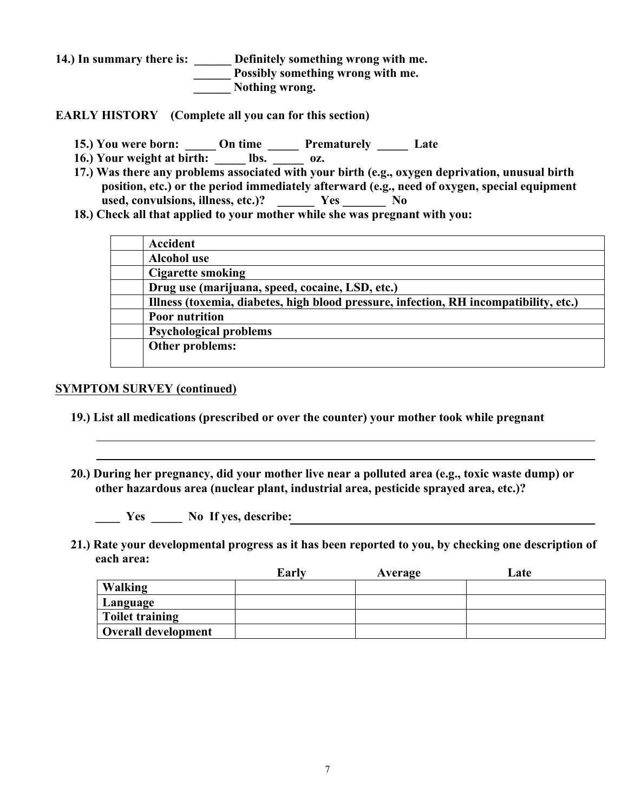**14.) In summary there is: \_\_\_\_\_\_ Definitely something wrong with me.**  *\_\_\_\_\_* **Possibly something wrong with me. \_\_\_\_\_\_ Nothing wrong.**

**EARLY HISTORY (Complete all you can for this section)**

- **15.) You were born: \_\_\_\_\_ On time \_\_\_\_\_ Prematurely \_\_\_\_\_ Late**
- 16.) Your weight at birth: lbs. oz.
- **17.) Was there any problems associated with your birth (e.g., oxygen deprivation, unusual birth position, etc.) or the period immediately afterward (e.g., need of oxygen, special equipment**  used, convulsions, illness, etc.)? \_\_\_\_\_\_ Yes \_\_\_\_\_\_\_ No
- **18.) Check all that applied to your mother while she was pregnant with you:**

| Accident                                                                              |
|---------------------------------------------------------------------------------------|
| <b>Alcohol use</b>                                                                    |
| <b>Cigarette smoking</b>                                                              |
| Drug use (marijuana, speed, cocaine, LSD, etc.)                                       |
| Illness (toxemia, diabetes, high blood pressure, infection, RH incompatibility, etc.) |
| <b>Poor nutrition</b>                                                                 |
| <b>Psychological problems</b>                                                         |
| Other problems:                                                                       |
|                                                                                       |

#### **SYMPTOM SURVEY (continued)**

- **19.) List all medications (prescribed or over the counter) your mother took while pregnant**
- **20.) During her pregnancy, did your mother live near a polluted area (e.g., toxic waste dump) or other hazardous area (nuclear plant, industrial area, pesticide sprayed area, etc.)?**

 **\_\_\_\_ Yes \_\_\_\_\_ No If yes, describe:**

 **21.) Rate your developmental progress as it has been reported to you, by checking one description of each area:**

|                        | Early | Average | Late |
|------------------------|-------|---------|------|
| Walking                |       |         |      |
| Language               |       |         |      |
| <b>Toilet training</b> |       |         |      |
| Overall development    |       |         |      |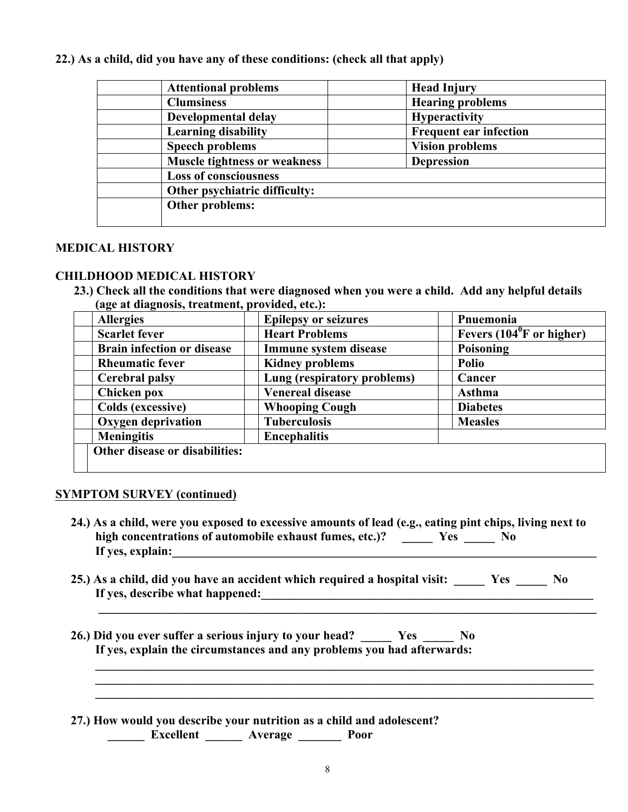#### **22.) As a child, did you have any of these conditions: (check all that apply)**

| <b>Attentional problems</b>  |                                     | <b>Head Injury</b>            |
|------------------------------|-------------------------------------|-------------------------------|
| <b>Clumsiness</b>            |                                     | <b>Hearing problems</b>       |
| Developmental delay          |                                     | <b>Hyperactivity</b>          |
| <b>Learning disability</b>   |                                     | <b>Frequent ear infection</b> |
| <b>Speech problems</b>       |                                     | <b>Vision problems</b>        |
|                              | <b>Muscle tightness or weakness</b> | <b>Depression</b>             |
| <b>Loss of consciousness</b> |                                     |                               |
|                              | Other psychiatric difficulty:       |                               |
| Other problems:              |                                     |                               |
|                              |                                     |                               |

#### **MEDICAL HISTORY**

#### **CHILDHOOD MEDICAL HISTORY**

 **23.) Check all the conditions that were diagnosed when you were a child. Add any helpful details (age at diagnosis, treatment, provided, etc.):**

| <b>Allergies</b>                  | <b>Epilepsy or seizures</b> | Pnuemonia                                 |
|-----------------------------------|-----------------------------|-------------------------------------------|
| <b>Scarlet fever</b>              | <b>Heart Problems</b>       | Fevers $(104^{\circ}F \text{ or higher})$ |
| <b>Brain infection or disease</b> | Immune system disease       | Poisoning                                 |
| <b>Rheumatic fever</b>            | <b>Kidney problems</b>      | <b>Polio</b>                              |
| <b>Cerebral palsy</b>             | Lung (respiratory problems) | Cancer                                    |
| Chicken pox                       | <b>Venereal disease</b>     | <b>Asthma</b>                             |
| <b>Colds (excessive)</b>          | <b>Whooping Cough</b>       | <b>Diabetes</b>                           |
| <b>Oxygen deprivation</b>         | <b>Tuberculosis</b>         | <b>Measles</b>                            |
| <b>Meningitis</b>                 | <b>Encephalitis</b>         |                                           |
| Other disease or disabilities:    |                             |                                           |
|                                   |                             |                                           |

#### **SYMPTOM SURVEY (continued)**

- **24.) As a child, were you exposed to excessive amounts of lead (e.g., eating pint chips, living next to**  high concentrations of automobile exhaust fumes, etc.)? <u>Yes Western No</u>  **If yes, explain:\_\_\_\_\_\_\_\_\_\_\_\_\_\_\_\_\_\_\_\_\_\_\_\_\_\_\_\_\_\_\_\_\_\_\_\_\_\_\_\_\_\_\_\_\_\_\_\_\_\_\_\_\_\_\_\_\_\_\_\_\_\_\_\_\_\_\_\_\_**
- **25.) As a child, did you have an accident which required a hospital visit: \_\_\_\_\_ Yes \_\_\_\_\_ No If yes, describe what happened:**

 $\mathcal{L}_\mathcal{L} = \mathcal{L}_\mathcal{L} = \mathcal{L}_\mathcal{L} = \mathcal{L}_\mathcal{L} = \mathcal{L}_\mathcal{L} = \mathcal{L}_\mathcal{L} = \mathcal{L}_\mathcal{L} = \mathcal{L}_\mathcal{L} = \mathcal{L}_\mathcal{L} = \mathcal{L}_\mathcal{L} = \mathcal{L}_\mathcal{L} = \mathcal{L}_\mathcal{L} = \mathcal{L}_\mathcal{L} = \mathcal{L}_\mathcal{L} = \mathcal{L}_\mathcal{L} = \mathcal{L}_\mathcal{L} = \mathcal{L}_\mathcal{L}$ 

 $\mathcal{L}_\mathcal{L} = \mathcal{L}_\mathcal{L} = \mathcal{L}_\mathcal{L} = \mathcal{L}_\mathcal{L} = \mathcal{L}_\mathcal{L} = \mathcal{L}_\mathcal{L} = \mathcal{L}_\mathcal{L} = \mathcal{L}_\mathcal{L} = \mathcal{L}_\mathcal{L} = \mathcal{L}_\mathcal{L} = \mathcal{L}_\mathcal{L} = \mathcal{L}_\mathcal{L} = \mathcal{L}_\mathcal{L} = \mathcal{L}_\mathcal{L} = \mathcal{L}_\mathcal{L} = \mathcal{L}_\mathcal{L} = \mathcal{L}_\mathcal{L}$  $\mathcal{L}_\mathcal{L} = \mathcal{L}_\mathcal{L} = \mathcal{L}_\mathcal{L} = \mathcal{L}_\mathcal{L} = \mathcal{L}_\mathcal{L} = \mathcal{L}_\mathcal{L} = \mathcal{L}_\mathcal{L} = \mathcal{L}_\mathcal{L} = \mathcal{L}_\mathcal{L} = \mathcal{L}_\mathcal{L} = \mathcal{L}_\mathcal{L} = \mathcal{L}_\mathcal{L} = \mathcal{L}_\mathcal{L} = \mathcal{L}_\mathcal{L} = \mathcal{L}_\mathcal{L} = \mathcal{L}_\mathcal{L} = \mathcal{L}_\mathcal{L}$  $\mathcal{L}_\mathcal{L} = \mathcal{L}_\mathcal{L} = \mathcal{L}_\mathcal{L} = \mathcal{L}_\mathcal{L} = \mathcal{L}_\mathcal{L} = \mathcal{L}_\mathcal{L} = \mathcal{L}_\mathcal{L} = \mathcal{L}_\mathcal{L} = \mathcal{L}_\mathcal{L} = \mathcal{L}_\mathcal{L} = \mathcal{L}_\mathcal{L} = \mathcal{L}_\mathcal{L} = \mathcal{L}_\mathcal{L} = \mathcal{L}_\mathcal{L} = \mathcal{L}_\mathcal{L} = \mathcal{L}_\mathcal{L} = \mathcal{L}_\mathcal{L}$ 

 **26.) Did you ever suffer a serious injury to your head? \_\_\_\_\_ Yes \_\_\_\_\_ No If yes, explain the circumstances and any problems you had afterwards:**

 **27.) How would you describe your nutrition as a child and adolescent? \_\_\_\_\_\_ Excellent \_\_\_\_\_\_ Average \_\_\_\_\_\_\_ Poor**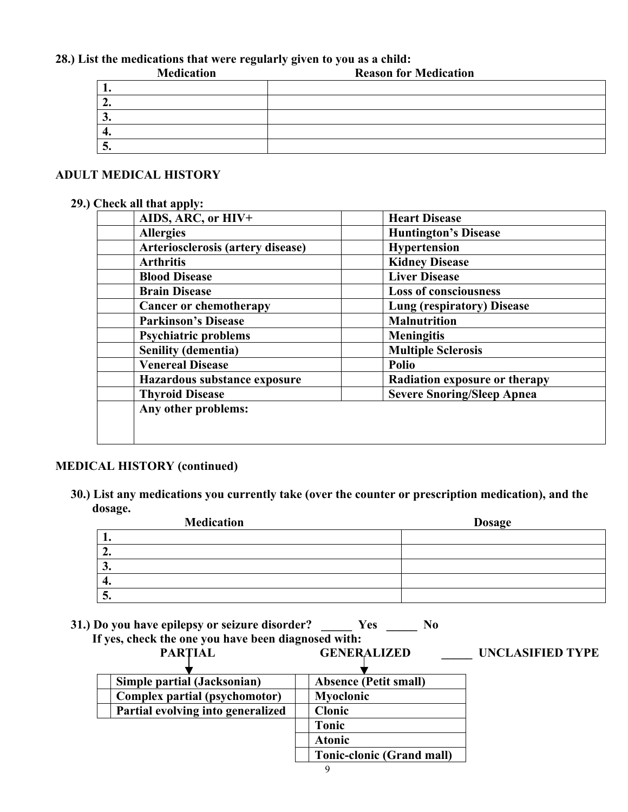## **28.) List the medications that were regularly given to you as a child:**

| <b>Medication</b> | <b>Reason for Medication</b> |
|-------------------|------------------------------|
|                   |                              |
|                   |                              |
| ◡.                |                              |
| п.                |                              |
| <u>J</u>          |                              |

#### **ADULT MEDICAL HISTORY**

#### **29.) Check all that apply:**

| AIDS, ARC, or HIV+                | <b>Heart Disease</b>              |
|-----------------------------------|-----------------------------------|
| <b>Allergies</b>                  | <b>Huntington's Disease</b>       |
| Arteriosclerosis (artery disease) | Hypertension                      |
| <b>Arthritis</b>                  | <b>Kidney Disease</b>             |
| <b>Blood Disease</b>              | <b>Liver Disease</b>              |
| <b>Brain Disease</b>              | <b>Loss of consciousness</b>      |
| <b>Cancer or chemotherapy</b>     | <b>Lung (respiratory) Disease</b> |
| <b>Parkinson's Disease</b>        | <b>Malnutrition</b>               |
| <b>Psychiatric problems</b>       | <b>Meningitis</b>                 |
| <b>Senility (dementia)</b>        | <b>Multiple Sclerosis</b>         |
| <b>Venereal Disease</b>           | <b>Polio</b>                      |
| Hazardous substance exposure      | Radiation exposure or therapy     |
| <b>Thyroid Disease</b>            | <b>Severe Snoring/Sleep Apnea</b> |
| Any other problems:               |                                   |
|                                   |                                   |
|                                   |                                   |

# **MEDICAL HISTORY (continued)**

 **30.) List any medications you currently take (over the counter or prescription medication), and the dosage.**

| <b>Medication</b> | <b>Dosage</b> |
|-------------------|---------------|
|                   |               |
| ، ،               |               |
| J.                |               |
| 4.                |               |
| ູ                 |               |

 **31.) Do you have epilepsy or seizure disorder? \_\_\_\_\_ Yes \_\_\_\_\_ No**

| If yes, check the one you have been diagnosed with: |                                  |                         |
|-----------------------------------------------------|----------------------------------|-------------------------|
| <b>PARTIAL</b>                                      | <b>GENERALIZED</b>               | <b>UNCLASIFIED TYPE</b> |
|                                                     |                                  |                         |
| Simple partial (Jacksonian)                         | <b>Absence (Petit small)</b>     |                         |
| Complex partial (psychomotor)                       | Myoclonic                        |                         |
| Partial evolving into generalized                   | <b>Clonic</b>                    |                         |
|                                                     | <b>Tonic</b>                     |                         |
|                                                     | <b>Atonic</b>                    |                         |
|                                                     | <b>Tonic-clonic (Grand mall)</b> |                         |
|                                                     |                                  |                         |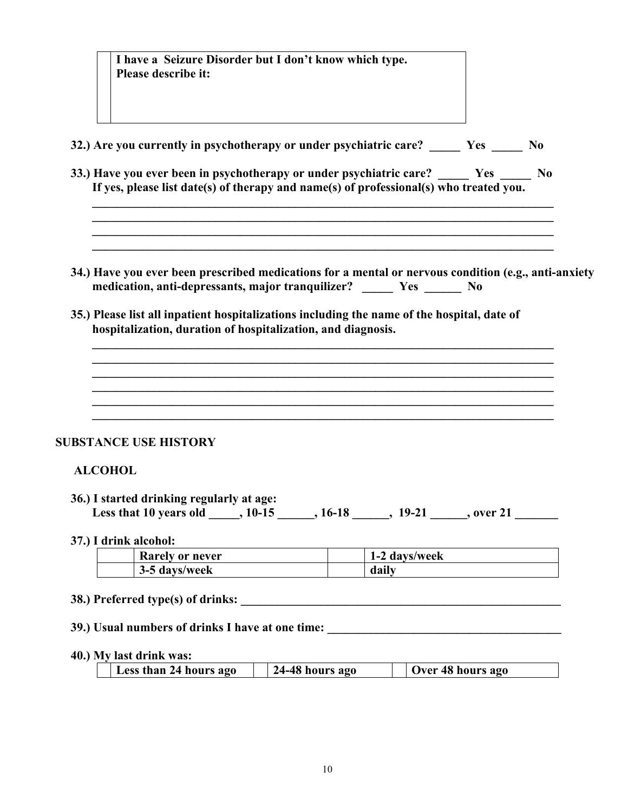|                | I have a Seizure Disorder but I don't know which type.<br>Please describe it:                                                                                                |       |               |                   |  |
|----------------|------------------------------------------------------------------------------------------------------------------------------------------------------------------------------|-------|---------------|-------------------|--|
|                | 32.) Are you currently in psychotherapy or under psychiatric care? Yes No                                                                                                    |       |               |                   |  |
|                | 33.) Have you ever been in psychotherapy or under psychiatric care? Yes No<br>If yes, please list date(s) of therapy and name(s) of professional(s) who treated you.         |       |               |                   |  |
|                | 34.) Have you ever been prescribed medications for a mental or nervous condition (e.g., anti-anxiety<br>medication, anti-depressants, major tranquilizer? _____ Yes _____ No |       |               |                   |  |
|                | 35.) Please list all inpatient hospitalizations including the name of the hospital, date of<br>hospitalization, duration of hospitalization, and diagnosis.                  |       |               |                   |  |
|                |                                                                                                                                                                              |       |               |                   |  |
|                |                                                                                                                                                                              |       |               |                   |  |
|                | <b>SUBSTANCE USE HISTORY</b>                                                                                                                                                 |       |               |                   |  |
| <b>ALCOHOL</b> |                                                                                                                                                                              |       |               |                   |  |
|                | 36.) I started drinking regularly at age:<br>Less that 10 years old _____, 10-15 ______, 16-18 ______, 19-21 ______, over 21                                                 |       |               |                   |  |
|                | 37.) I drink alcohol:                                                                                                                                                        |       |               |                   |  |
|                | Rarely or never<br>3-5 days/week                                                                                                                                             | daily | 1-2 days/week |                   |  |
|                |                                                                                                                                                                              |       |               |                   |  |
|                |                                                                                                                                                                              |       |               |                   |  |
|                | 39.) Usual numbers of drinks I have at one time: _______________________________                                                                                             |       |               |                   |  |
|                | 40.) My last drink was:<br>24-48 hours ago<br>Less than 24 hours ago                                                                                                         |       |               | Over 48 hours ago |  |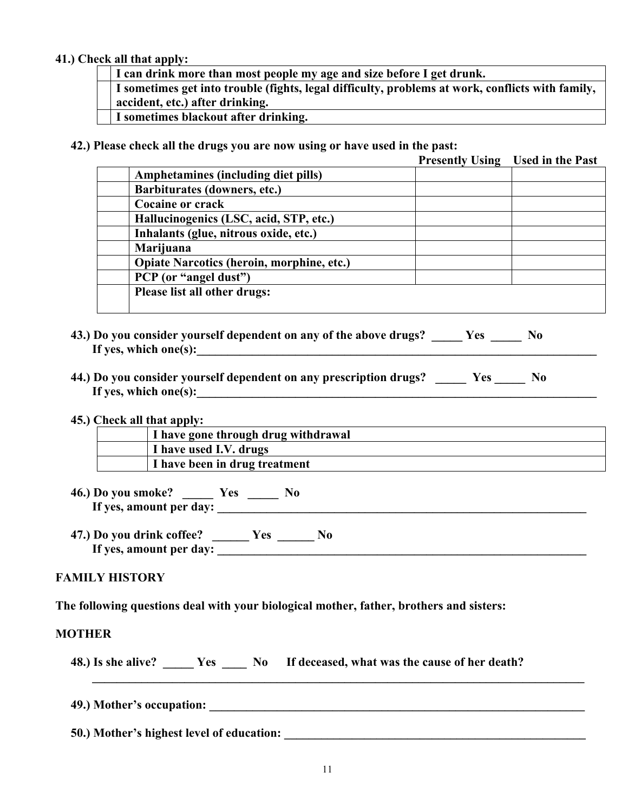#### **41.) Check all that apply:**

**I can drink more than most people my age and size before I get drunk. I sometimes get into trouble (fights, legal difficulty, problems at work, conflicts with family, accident, etc.) after drinking. I sometimes blackout after drinking.**

 **42.) Please check all the drugs you are now using or have used in the past:**

|                                                  | <b>Presently Using Used in the Past</b> |
|--------------------------------------------------|-----------------------------------------|
| Amphetamines (including diet pills)              |                                         |
| Barbiturates (downers, etc.)                     |                                         |
| <b>Cocaine or crack</b>                          |                                         |
| Hallucinogenics (LSC, acid, STP, etc.)           |                                         |
| Inhalants (glue, nitrous oxide, etc.)            |                                         |
| Marijuana                                        |                                         |
| <b>Opiate Narcotics (heroin, morphine, etc.)</b> |                                         |
| PCP (or "angel dust")                            |                                         |
| Please list all other drugs:                     |                                         |

- **43.) Do you consider yourself dependent on any of the above drugs? \_\_\_\_\_ Yes \_\_\_\_\_ No If yes, which one(s):\_\_\_\_\_\_\_\_\_\_\_\_\_\_\_\_\_\_\_\_\_\_\_\_\_\_\_\_\_\_\_\_\_\_\_\_\_\_\_\_\_\_\_\_\_\_\_\_\_\_\_\_\_\_\_\_\_\_\_\_\_\_\_\_\_**
- **44.) Do you consider yourself dependent on any prescription drugs? \_\_\_\_\_ Yes \_\_\_\_\_ No If yes, which one(s):\_\_\_\_\_\_\_\_\_\_\_\_\_\_\_\_\_\_\_\_\_\_\_\_\_\_\_\_\_\_\_\_\_\_\_\_\_\_\_\_\_\_\_\_\_\_\_\_\_\_\_\_\_\_\_\_\_\_\_\_\_\_\_\_\_**
- **45.) Check all that apply:**

| I have gone through drug withdrawal |
|-------------------------------------|
| I have used I.V. drugs              |
| I have been in drug treatment       |

 **46.) Do you smoke? \_\_\_\_\_ Yes \_\_\_\_\_ No** If yes, amount per day:

 **47.) Do you drink coffee? \_\_\_\_\_\_ Yes \_\_\_\_\_\_ No** If yes, amount per day:

#### **FAMILY HISTORY**

**The following questions deal with your biological mother, father, brothers and sisters:**

#### **MOTHER**

 **48.) Is she alive? \_\_\_\_\_ Yes \_\_\_\_ No If deceased, what was the cause of her death?**

 $\mathcal{L}_\text{max} = \frac{1}{2} \sum_{i=1}^{n} \frac{1}{2} \sum_{i=1}^{n} \frac{1}{2} \sum_{i=1}^{n} \frac{1}{2} \sum_{i=1}^{n} \frac{1}{2} \sum_{i=1}^{n} \frac{1}{2} \sum_{i=1}^{n} \frac{1}{2} \sum_{i=1}^{n} \frac{1}{2} \sum_{i=1}^{n} \frac{1}{2} \sum_{i=1}^{n} \frac{1}{2} \sum_{i=1}^{n} \frac{1}{2} \sum_{i=1}^{n} \frac{1}{2} \sum_{i=1}^{n} \frac{1$ 

 **49.) Mother's occupation: \_\_\_\_\_\_\_\_\_\_\_\_\_\_\_\_\_\_\_\_\_\_\_\_\_\_\_\_\_\_\_\_\_\_\_\_\_\_\_\_\_\_\_\_\_\_\_\_\_\_\_\_\_\_\_\_\_\_\_\_\_**

**50.) Mother's highest level of education:**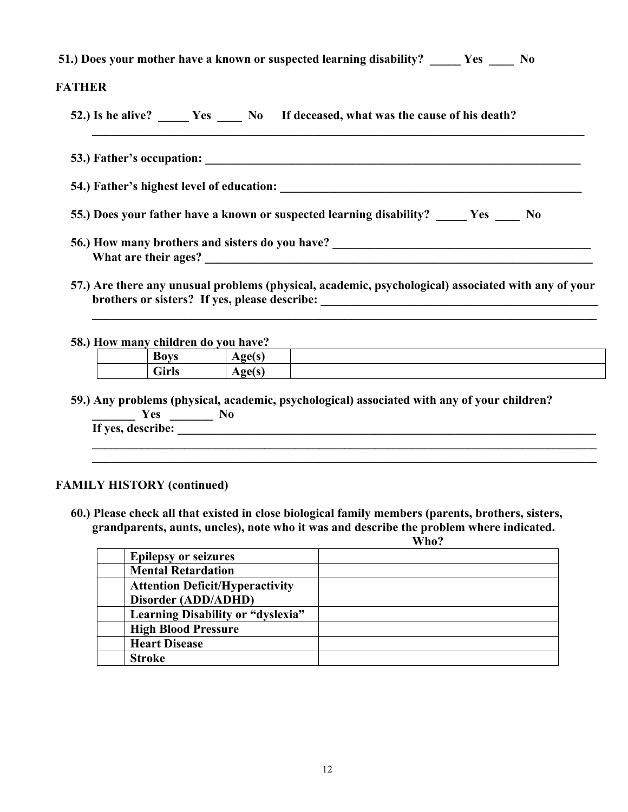**51.) Does your mother have a known or suspected learning disability? \_\_\_\_\_ Yes \_\_\_\_ No**

## **FATHER**

 **52.) Is he alive? \_\_\_\_\_ Yes \_\_\_\_ No If deceased, what was the cause of his death?**

 **53.) Father's occupation: \_\_\_\_\_\_\_\_\_\_\_\_\_\_\_\_\_\_\_\_\_\_\_\_\_\_\_\_\_\_\_\_\_\_\_\_\_\_\_\_\_\_\_\_\_\_\_\_\_\_\_\_\_\_\_\_\_\_\_\_\_ 54.) Father's highest level of education: \_\_\_\_\_\_\_\_\_\_\_\_\_\_\_\_\_\_\_\_\_\_\_\_\_\_\_\_\_\_\_\_\_\_\_\_\_\_\_\_\_\_\_\_\_\_\_\_\_ 55.) Does your father have a known or suspected learning disability? \_\_\_\_\_ Yes \_\_\_\_ No 56.)** How many brothers and sisters do you have?

 **\_\_\_\_\_\_\_\_\_\_\_\_\_\_\_\_\_\_\_\_\_\_\_\_\_\_\_\_\_\_\_\_\_\_\_\_\_\_\_\_\_\_\_\_\_\_\_\_\_\_\_\_\_\_\_\_\_\_\_\_\_\_\_\_\_\_\_\_\_\_\_\_\_\_\_\_\_\_\_\_**

- **What are their ages? \_\_\_\_\_\_\_\_\_\_\_\_\_\_\_\_\_\_\_\_\_\_\_\_\_\_\_\_\_\_\_\_\_\_\_\_\_\_\_\_\_\_\_\_\_\_\_\_\_\_\_\_\_\_\_\_\_\_\_\_\_\_\_**
- **57.) Are there any unusual problems (physical, academic, psychological) associated with any of your**  brothers or sisters? If yes, please describe: \_\_\_\_\_\_\_\_\_\_\_\_\_\_\_\_\_\_\_\_\_\_\_\_\_\_\_\_\_\_\_\_\_\_\_

 $\mathcal{L} = \{ \mathcal{L} \mid \mathcal{L} \in \mathcal{L} \}$  ,  $\mathcal{L} = \{ \mathcal{L} \mid \mathcal{L} \in \mathcal{L} \}$  ,  $\mathcal{L} = \{ \mathcal{L} \mid \mathcal{L} \in \mathcal{L} \}$  ,  $\mathcal{L} = \{ \mathcal{L} \mid \mathcal{L} \in \mathcal{L} \}$  ,  $\mathcal{L} = \{ \mathcal{L} \mid \mathcal{L} \in \mathcal{L} \}$  ,  $\mathcal{L} = \{ \mathcal{L} \mid \mathcal{L} \in \mathcal{L$ 

 **58.) How many children do you have?**

| <b>Boys</b>  | $\sim$ 0.4 $\sim$<br>1155 |  |
|--------------|---------------------------|--|
| <b>Girls</b> | $\sim$ 0.4 $\sim$<br>1155 |  |
|              |                           |  |

 **59.) Any problems (physical, academic, psychological) associated with any of your children? \_\_\_\_\_\_\_ Yes \_\_\_\_\_\_\_ No If yes, describe: \_\_\_\_\_\_\_\_\_\_\_\_\_\_\_\_\_\_\_\_\_\_\_\_\_\_\_\_\_\_\_\_\_\_\_\_\_\_\_\_\_\_\_\_\_\_\_\_\_\_\_\_\_\_\_\_\_\_\_\_\_\_\_\_\_\_\_\_**

 $\mathcal{L}_\mathcal{L} = \{ \mathcal{L}_\mathcal{L} = \{ \mathcal{L}_\mathcal{L} = \{ \mathcal{L}_\mathcal{L} = \{ \mathcal{L}_\mathcal{L} = \{ \mathcal{L}_\mathcal{L} = \{ \mathcal{L}_\mathcal{L} = \{ \mathcal{L}_\mathcal{L} = \{ \mathcal{L}_\mathcal{L} = \{ \mathcal{L}_\mathcal{L} = \{ \mathcal{L}_\mathcal{L} = \{ \mathcal{L}_\mathcal{L} = \{ \mathcal{L}_\mathcal{L} = \{ \mathcal{L}_\mathcal{L} = \{ \mathcal{L}_\mathcal{$  $\mathcal{L} = \{ \mathcal{L} \mid \mathcal{L} \in \mathcal{L} \}$  ,  $\mathcal{L} = \{ \mathcal{L} \mid \mathcal{L} \in \mathcal{L} \}$  ,  $\mathcal{L} = \{ \mathcal{L} \mid \mathcal{L} \in \mathcal{L} \}$  ,  $\mathcal{L} = \{ \mathcal{L} \mid \mathcal{L} \in \mathcal{L} \}$  ,  $\mathcal{L} = \{ \mathcal{L} \mid \mathcal{L} \in \mathcal{L} \}$  ,  $\mathcal{L} = \{ \mathcal{L} \mid \mathcal{L} \in \mathcal{L$ 

#### **FAMILY HISTORY (continued)**

 **60.) Please check all that existed in close biological family members (parents, brothers, sisters, grandparents, aunts, uncles), note who it was and describe the problem where indicated.**

 **Who? Epilepsy or seizures Mental Retardation Attention Deficit/Hyperactivity Disorder (ADD/ADHD) Learning Disability or "dyslexia" High Blood Pressure Heart Disease Stroke**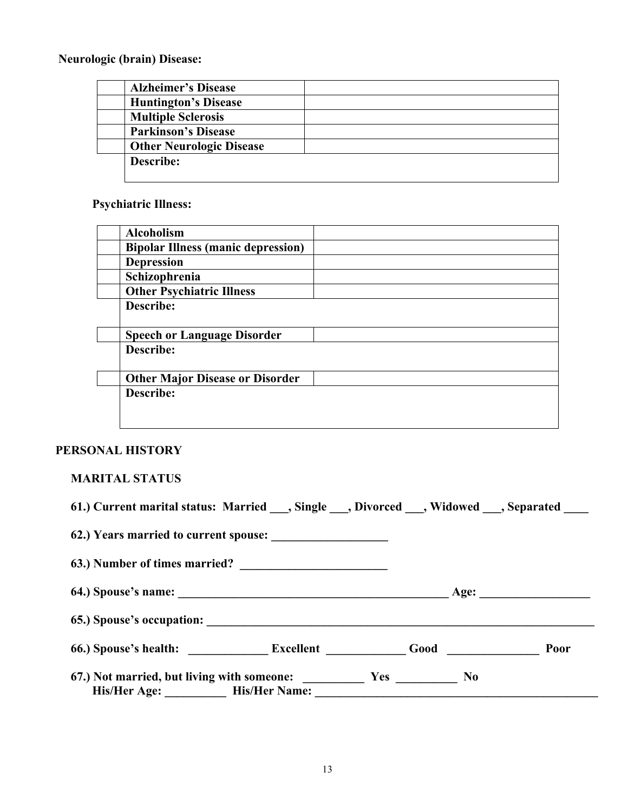**Neurologic (brain) Disease:**

| <b>Alzheimer's Disease</b>      |  |
|---------------------------------|--|
| <b>Huntington's Disease</b>     |  |
| <b>Multiple Sclerosis</b>       |  |
| <b>Parkinson's Disease</b>      |  |
| <b>Other Neurologic Disease</b> |  |
| Describe:                       |  |
|                                 |  |

# **Psychiatric Illness:**

| <b>Alcoholism</b>                         |  |
|-------------------------------------------|--|
| <b>Bipolar Illness (manic depression)</b> |  |
| <b>Depression</b>                         |  |
| Schizophrenia                             |  |
| <b>Other Psychiatric Illness</b>          |  |
| Describe:                                 |  |
| <b>Speech or Language Disorder</b>        |  |
| Describe:                                 |  |
| <b>Other Major Disease or Disorder</b>    |  |
| Describe:                                 |  |
|                                           |  |
|                                           |  |

# **PERSONAL HISTORY**

# **MARITAL STATUS**

| 61.) Current marital status: Married , Single , Divorced , Widowed , Separated |  |  |
|--------------------------------------------------------------------------------|--|--|
|                                                                                |  |  |
| 63.) Number of times married?                                                  |  |  |
|                                                                                |  |  |
|                                                                                |  |  |
| 66.) Spouse's health: Excellent Good Good Poor                                 |  |  |
| 67.) Not married, but living with someone: Yes No                              |  |  |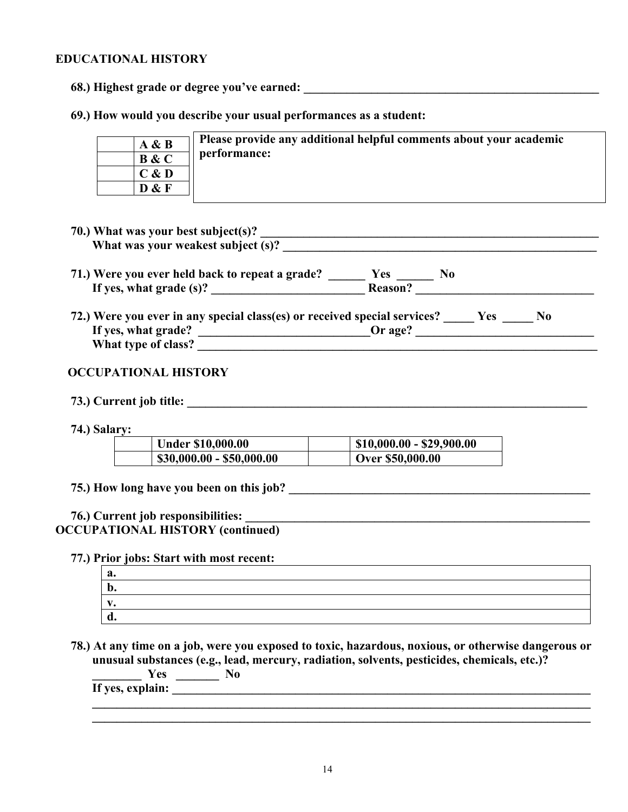#### **EDUCATIONAL HISTORY**

**68.)** Highest grade or degree you've earned:

 **69.) How would you describe your usual performances as a student:**

| A & B                       | Please provide any additional helpful comments about your academic |
|-----------------------------|--------------------------------------------------------------------|
| B & C                       | performance:                                                       |
| $\mathbb{C}$ & $\mathbf{D}$ |                                                                    |
| D & F                       |                                                                    |

- **70.)** What was your best subject(s)?  **What was your weakest subject (s)? \_\_\_\_\_\_\_\_\_\_\_\_\_\_\_\_\_\_\_\_\_\_\_\_\_\_\_\_\_\_\_\_\_\_\_\_\_\_\_\_\_\_\_\_\_\_\_\_\_\_\_**
- **71.) Were you ever held back to repeat a grade? \_\_\_\_\_\_ Yes \_\_\_\_\_\_ No If yes, what grade (s)? \_\_\_\_\_\_\_\_\_\_\_\_\_\_\_\_\_\_\_\_\_\_\_\_\_ Reason? \_\_\_\_\_\_\_\_\_\_\_\_\_\_\_\_\_\_\_\_\_\_\_\_\_\_\_\_\_**
- **72.) Were you ever in any special class(es) or received special services? \_\_\_\_\_ Yes \_\_\_\_\_ No If yes, what grade? \_\_\_\_\_\_\_\_\_\_\_\_\_\_\_\_\_\_\_\_\_\_\_\_\_\_\_\_Or age? \_\_\_\_\_\_\_\_\_\_\_\_\_\_\_\_\_\_\_\_\_\_\_\_\_\_\_\_\_ What type of class? \_\_\_\_\_\_\_\_\_\_\_\_\_\_\_\_\_\_\_\_\_\_\_\_\_\_\_\_\_\_\_\_\_\_\_\_\_\_\_\_\_\_\_\_\_\_\_\_\_\_\_\_\_\_\_\_\_\_\_\_\_\_\_\_\_**

#### **OCCUPATIONAL HISTORY**

- **73.) Current job title: \_\_\_\_\_\_\_\_\_\_\_\_\_\_\_\_\_\_\_\_\_\_\_\_\_\_\_\_\_\_\_\_\_\_\_\_\_\_\_\_\_\_\_\_\_\_\_\_\_\_\_\_\_\_\_\_\_\_\_\_\_\_\_\_\_**
- **74.) Salary:**

| <b>Under \$10,000.00</b>  | $ $10,000.00 - $29,900.00$ |
|---------------------------|----------------------------|
| $$30,000.00 - $50,000.00$ | Over \$50,000.00           |

 **75.) How long have you been on this job? \_\_\_\_\_\_\_\_\_\_\_\_\_\_\_\_\_\_\_\_\_\_\_\_\_\_\_\_\_\_\_\_\_\_\_\_\_\_\_\_\_\_\_\_\_\_\_\_\_**

#### **76.) Current job responsibilities: \_\_\_\_\_\_\_\_\_\_\_\_\_\_\_\_\_\_\_\_\_\_\_\_\_\_\_\_\_\_\_\_\_\_\_\_\_\_\_\_\_\_\_\_\_\_\_\_\_\_\_\_\_\_\_\_**

#### **OCCUPATIONAL HISTORY (continued)**

 **77.) Prior jobs: Start with most recent:**

| а.  |  |
|-----|--|
| IJ, |  |
|     |  |
| ч.  |  |

 **78.) At any time on a job, were you exposed to toxic, hazardous, noxious, or otherwise dangerous or unusual substances (e.g., lead, mercury, radiation, solvents, pesticides, chemicals, etc.)? \_\_\_\_\_\_\_\_ Yes \_\_\_\_\_\_\_ No**

 **If yes, explain: \_\_\_\_\_\_\_\_\_\_\_\_\_\_\_\_\_\_\_\_\_\_\_\_\_\_\_\_\_\_\_\_\_\_\_\_\_\_\_\_\_\_\_\_\_\_\_\_\_\_\_\_\_\_\_\_\_\_\_\_\_\_\_\_\_\_\_\_**

 $\mathcal{L}_\text{max} = \frac{1}{2} \sum_{i=1}^n \mathcal{L}_\text{max} \left[ \mathcal{L}_\text{max} \left( \mathcal{L}_\text{max} \right) - \mathcal{L}_\text{max} \left( \mathcal{L}_\text{max} \right) \right]$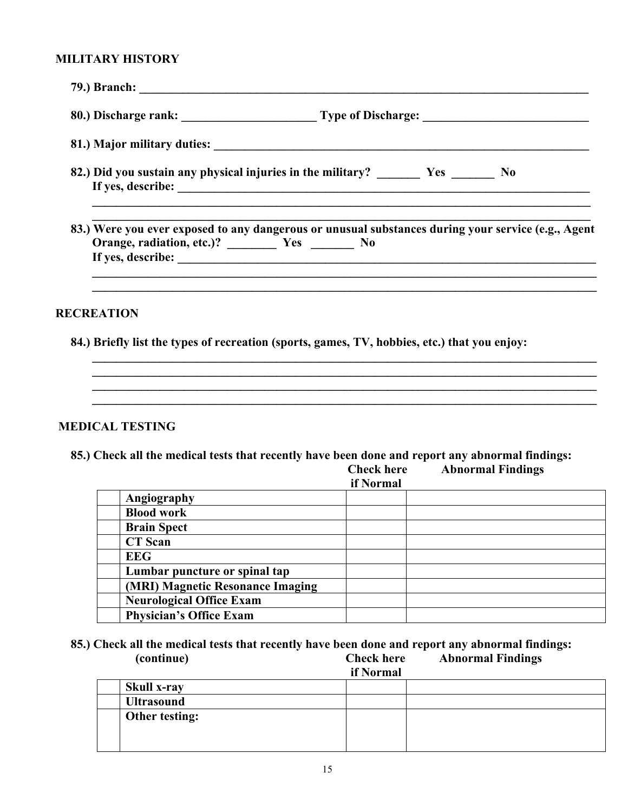#### **MILITARY HISTORY**

| 83.) Were you ever exposed to any dangerous or unusual substances during your service (e.g., Agent |
|----------------------------------------------------------------------------------------------------|
| <b>RECREATION</b>                                                                                  |
| 84.) Briefly list the types of recreation (sports, games, TV, hobbies, etc.) that you enjoy:       |
|                                                                                                    |
|                                                                                                    |

### **MEDICAL TESTING**

 **85.) Check all the medical tests that recently have been done and report any abnormal findings: Abnormal Findings** 

|                                  | if Normal |  |
|----------------------------------|-----------|--|
| Angiography                      |           |  |
| <b>Blood work</b>                |           |  |
| <b>Brain Spect</b>               |           |  |
| <b>CT</b> Scan                   |           |  |
| <b>EEG</b>                       |           |  |
| Lumbar puncture or spinal tap    |           |  |
| (MRI) Magnetic Resonance Imaging |           |  |
| <b>Neurological Office Exam</b>  |           |  |
| <b>Physician's Office Exam</b>   |           |  |

 **85.) Check all the medical tests that recently have been done and report any abnormal findings: Abnormal Findings** 

|                    | if Normal |
|--------------------|-----------|
| <b>Skull x-ray</b> |           |
| <b>Ultrasound</b>  |           |
| Other testing:     |           |
|                    |           |
|                    |           |